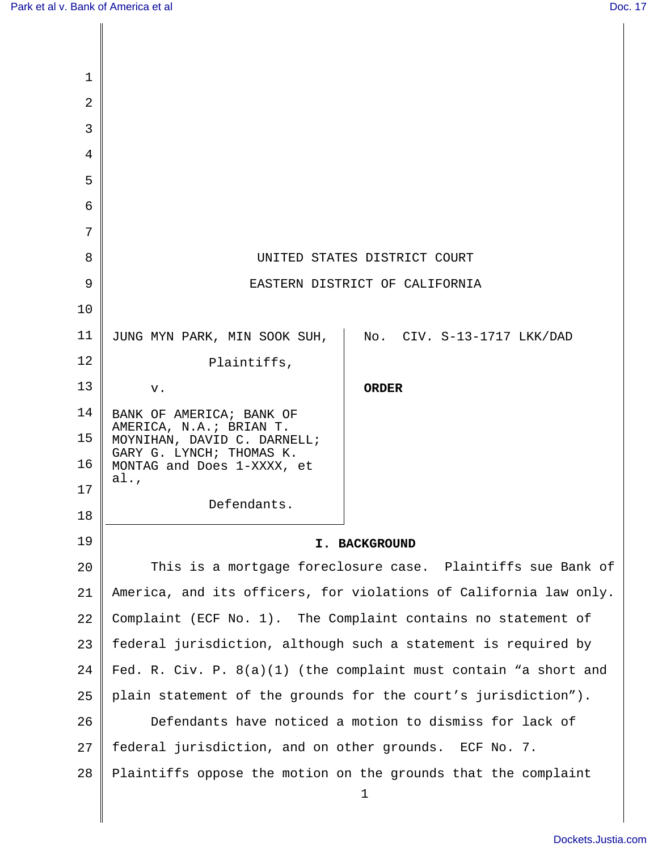| 1              |                                                                    |                                                                |
|----------------|--------------------------------------------------------------------|----------------------------------------------------------------|
| $\overline{2}$ |                                                                    |                                                                |
| 3              |                                                                    |                                                                |
| 4              |                                                                    |                                                                |
| 5              |                                                                    |                                                                |
| 6              |                                                                    |                                                                |
| 7              |                                                                    |                                                                |
| 8              | UNITED STATES DISTRICT COURT                                       |                                                                |
| 9              | EASTERN DISTRICT OF CALIFORNIA                                     |                                                                |
| 10             |                                                                    |                                                                |
| 11             | JUNG MYN PARK, MIN SOOK SUH,                                       | No. CIV. S-13-1717 LKK/DAD                                     |
| 12             | Plaintiffs,                                                        |                                                                |
| 13             | v.                                                                 | <b>ORDER</b>                                                   |
| 14             | BANK OF AMERICA; BANK OF                                           |                                                                |
| 15             | AMERICA, N.A.; BRIAN T.<br>MOYNIHAN, DAVID C. DARNELL;             |                                                                |
| 16             | GARY G. LYNCH; THOMAS K.<br>MONTAG and Does 1-XXXX, et             |                                                                |
| 17             | $a$ l.,                                                            |                                                                |
| 18             | Defendants.                                                        |                                                                |
| 19             | I. BACKGROUND                                                      |                                                                |
| 20             |                                                                    | This is a mortgage foreclosure case. Plaintiffs sue Bank of    |
| 21             | America, and its officers, for violations of California law only.  |                                                                |
| 22             | Complaint (ECF No. 1). The Complaint contains no statement of      |                                                                |
| 23             | federal jurisdiction, although such a statement is required by     |                                                                |
| 24             | Fed. R. Civ. P. $8(a)(1)$ (the complaint must contain "a short and |                                                                |
| 25             | plain statement of the grounds for the court's jurisdiction").     |                                                                |
| 26             | Defendants have noticed a motion to dismiss for lack of            |                                                                |
| 27             | federal jurisdiction, and on other grounds. ECF No. 7.             |                                                                |
| 28             |                                                                    | Plaintiffs oppose the motion on the grounds that the complaint |
|                |                                                                    | 1                                                              |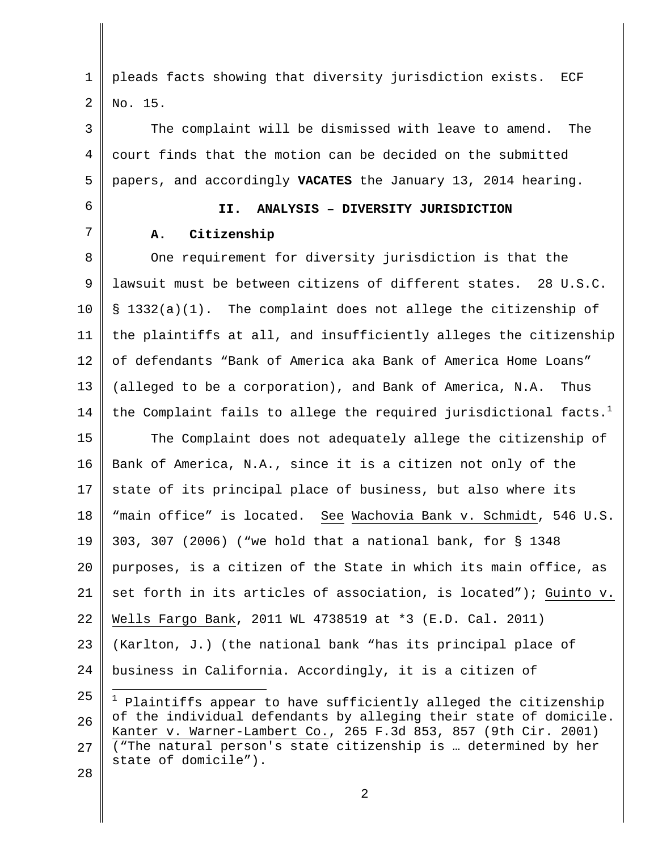1 2 pleads facts showing that diversity jurisdiction exists. ECF No. 15.

3 4 5 The complaint will be dismissed with leave to amend. The court finds that the motion can be decided on the submitted papers, and accordingly **VACATES** the January 13, 2014 hearing.

6 7

## **II. ANALYSIS – DIVERSITY JURISDICTION**

## **A. Citizenship**

8 9 10 11 12 13 14 15 16 17 18 19 20 One requirement for diversity jurisdiction is that the lawsuit must be between citizens of different states. 28 U.S.C. § 1332(a)(1). The complaint does not allege the citizenship of the plaintiffs at all, and insufficiently alleges the citizenship of defendants "Bank of America aka Bank of America Home Loans" (alleged to be a corporation), and Bank of America, N.A. Thus the Complaint fails to allege the required jurisdictional facts.<sup>1</sup> The Complaint does not adequately allege the citizenship of Bank of America, N.A., since it is a citizen not only of the state of its principal place of business, but also where its "main office" is located. See Wachovia Bank v. Schmidt, 546 U.S. 303, 307 (2006) ("we hold that a national bank, for § 1348 purposes, is a citizen of the State in which its main office, as

21 set forth in its articles of association, is located"); Guinto v.

22 Wells Fargo Bank, 2011 WL 4738519 at \*3 (E.D. Cal. 2011)

23  $2.4$ (Karlton, J.) (the national bank "has its principal place of business in California. Accordingly, it is a citizen of

25 26 27  $1$  Plaintiffs appear to have sufficiently alleged the citizenship of the individual defendants by alleging their state of domicile. Kanter v. Warner-Lambert Co., 265 F.3d 853, 857 (9th Cir. 2001) ("The natural person's state citizenship is … determined by her state of domicile").

28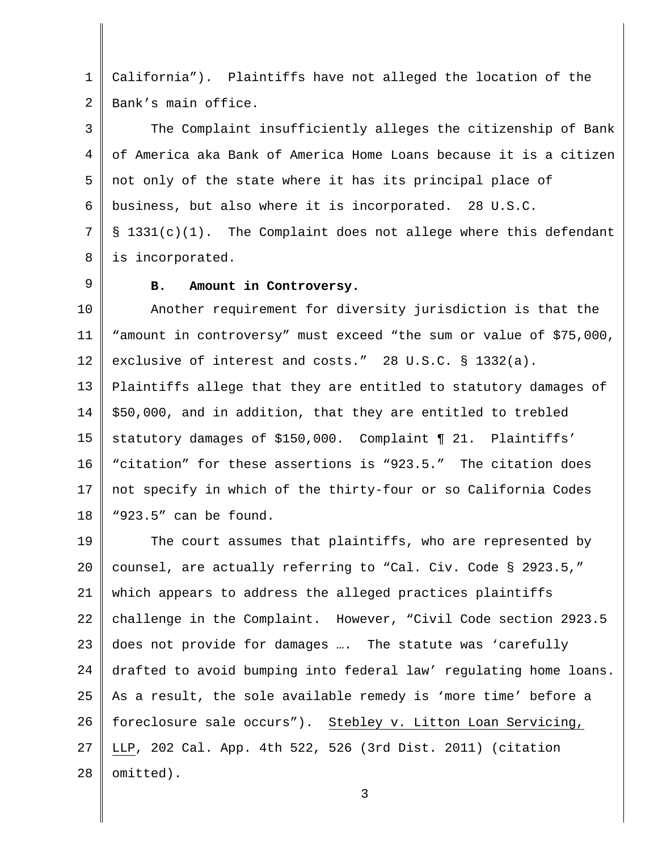1 2 California"). Plaintiffs have not alleged the location of the Bank's main office.

3 4 5 6 7 8 The Complaint insufficiently alleges the citizenship of Bank of America aka Bank of America Home Loans because it is a citizen not only of the state where it has its principal place of business, but also where it is incorporated. 28 U.S.C. § 1331(c)(1). The Complaint does not allege where this defendant is incorporated.

9

## **B. Amount in Controversy.**

10 11 12 13 14 15 16 17 18 Another requirement for diversity jurisdiction is that the "amount in controversy" must exceed "the sum or value of \$75,000, exclusive of interest and costs." 28 U.S.C. § 1332(a). Plaintiffs allege that they are entitled to statutory damages of \$50,000, and in addition, that they are entitled to trebled statutory damages of \$150,000. Complaint ¶ 21. Plaintiffs' "citation" for these assertions is "923.5." The citation does not specify in which of the thirty-four or so California Codes "923.5" can be found.

19 20 21 22 23  $2.4$ 25 26 27 28 The court assumes that plaintiffs, who are represented by counsel, are actually referring to "Cal. Civ. Code § 2923.5," which appears to address the alleged practices plaintiffs challenge in the Complaint. However, "Civil Code section 2923.5 does not provide for damages …. The statute was 'carefully drafted to avoid bumping into federal law' regulating home loans. As a result, the sole available remedy is 'more time' before a foreclosure sale occurs"). Stebley v. Litton Loan Servicing, LLP, 202 Cal. App. 4th 522, 526 (3rd Dist. 2011) (citation omitted).

3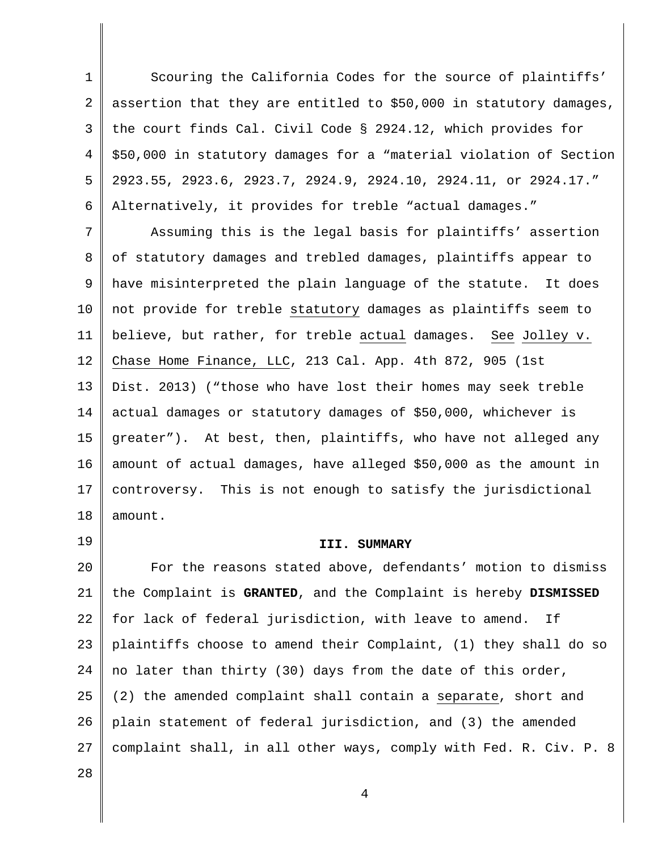1 2 3 4 5 6 Scouring the California Codes for the source of plaintiffs' assertion that they are entitled to \$50,000 in statutory damages, the court finds Cal. Civil Code § 2924.12, which provides for \$50,000 in statutory damages for a "material violation of Section 2923.55, 2923.6, 2923.7, 2924.9, 2924.10, 2924.11, or 2924.17." Alternatively, it provides for treble "actual damages."

7 8 9 10 11 12 13 14 15 16 17 18 Assuming this is the legal basis for plaintiffs' assertion of statutory damages and trebled damages, plaintiffs appear to have misinterpreted the plain language of the statute. It does not provide for treble statutory damages as plaintiffs seem to believe, but rather, for treble actual damages. See Jolley v. Chase Home Finance, LLC, 213 Cal. App. 4th 872, 905 (1st Dist. 2013) ("those who have lost their homes may seek treble actual damages or statutory damages of \$50,000, whichever is greater"). At best, then, plaintiffs, who have not alleged any amount of actual damages, have alleged \$50,000 as the amount in controversy. This is not enough to satisfy the jurisdictional amount.

19

## **III. SUMMARY**

20 21 22 23 24 25 26 27 For the reasons stated above, defendants' motion to dismiss the Complaint is **GRANTED**, and the Complaint is hereby **DISMISSED** for lack of federal jurisdiction, with leave to amend. If plaintiffs choose to amend their Complaint, (1) they shall do so no later than thirty (30) days from the date of this order, (2) the amended complaint shall contain a separate, short and plain statement of federal jurisdiction, and (3) the amended complaint shall, in all other ways, comply with Fed. R. Civ. P. 8

28

4